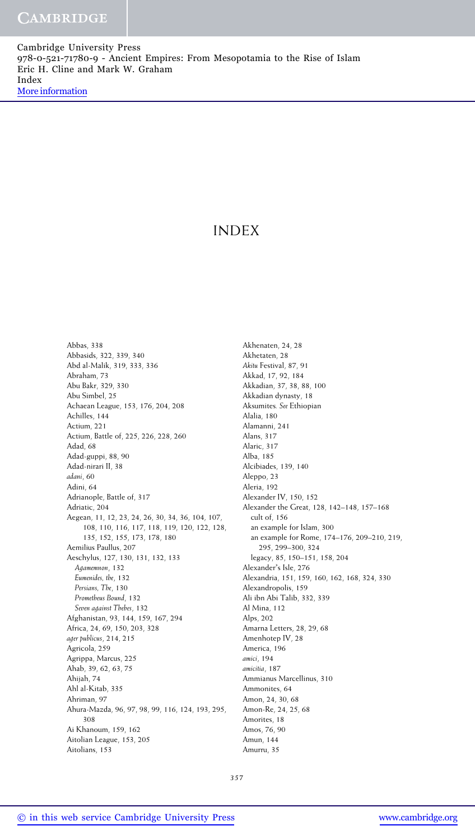Cambridge University Press 978-0-521-71780-9 - Ancient Empires: From Mesopotamia to the Rise of Islam Eric H. Cline and Mark W. Graham Index [More information](http://www.cambridge.org/9780521717809)

# INDEX

Abbas, 338 Abbasids, 322, 339, 340 Abd al-Malik, 319, 333, 336 Abraham, 73 Abu Bakr, 329, 330 Abu Simbel, 25 Achaean League, 153, 176, 204, 208 Achilles, 144 Actium, 221 Actium, Battle of, 225, 226, 228, 260 Adad, 68 Adad-guppi, 88, 90 Adad-nirari II, 38 *adani*, 60 Adini, 64 Adrianople, Battle of, 317 Adriatic, 204 Aegean, 11, 12, 23, 24, 26, 30, 34, 36, 104, 107, 108, 110, 116, 117, 118, 119, 120, 122, 128, 135, 152, 155, 173, 178, 180 Aemilius Paullus, 207 Aeschylus, 127, 130, 131, 132, 133 *Agamemnon*, 132 *Eumenides, the*, 132 *Persians, The*, 130 *Prometheus Bound*, 132 *Seven against Thebes*, 132 Afghanistan, 93, 144, 159, 167, 294 Africa, 24, 69, 150, 203, 328 *ager publicus*, 214, 215 Agricola, 259 Agrippa, Marcus, 225 Ahab, 39, 62, 63, 75 Ahijah, 74 Ahl al-Kitab, 335 Ahriman, 97 Ahura-Mazda, 96, 97, 98, 99, 116, 124, 193, 295, 308 Ai Khanoum, 159, 162 Aitolian League, 153, 205 Aitolians, 153

Akhenaten, 24, 28 Akhetaten, 28 *Akitu* Festival, 87, 91 Akkad, 17, 92, 184 Akkadian, 37, 38, 88, 100 Akkadian dynasty, 18 Aksumites*. See* Ethiopian Alalia, 180 Alamanni, 241 Alans, 317 Alaric, 317 Alba, 185 Alcibiades, 139, 140 Aleppo, 23 Aleria, 192 Alexander IV, 150, 152 Alexander the Great, 128, 142–148, 157–168 cult of, 156 an example for Islam, 300 an example for Rome, 174–176, 209–210, 219, 295, 299–300, 324 legacy, 85, 150–151, 158, 204 Alexander's Isle, 276 Alexandria, 151, 159, 160, 162, 168, 324, 330 Alexandropolis, 159 Ali ibn Abi Talib, 332, 339 Al Mina, 112 Alps, 202 Amarna Letters, 28, 29, 68 Amenhotep IV, 28 America, 196 *amici*, 194 *amicitia*, 187 Ammianus Marcellinus, 310 Ammonites, 64 Amon, 24, 30, 68 Amon-Re, 24, 25, 68 Amorites, 18 Amos, 76, 90 Amun, 144 Amurru, 35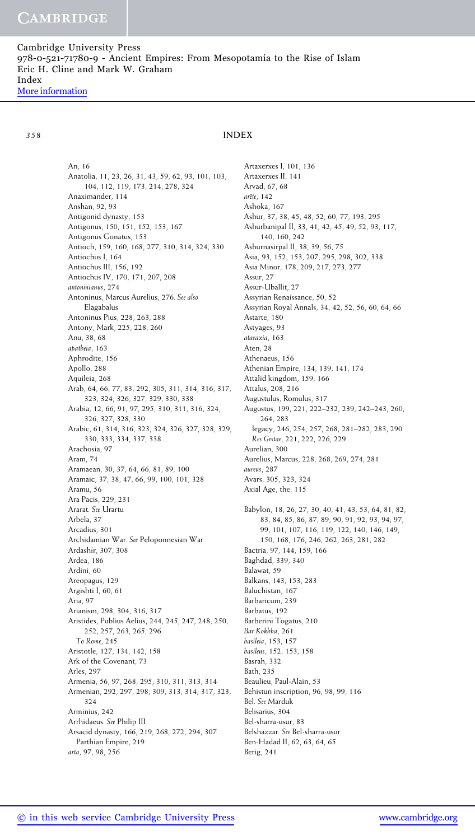An, 16 Anatolia, 11, 23, 26, 31, 43, 59, 62, 93, 101, 103, 104, 112, 119, 173, 214, 278, 324 Anaximander, 114 Anshan, 92, 93 Antigonid dynasty, 153 Antigonus, 150, 151, 152, 153, 167 Antigonus Gonatus, 153 Antioch, 159, 160, 168, 277, 310, 314, 324, 330 Antiochus I, 164 Antiochus III, 156, 192 Antiochus IV, 170, 171, 207, 208 *antoninianus*, 274 Antoninus, Marcus Aurelius, 276*. See also* Elagabalus Antoninus Pius, 228, 263, 288 Antony, Mark, 225, 228, 260 Anu, 38, 68 *apatheia*, 163 Aphrodite, 156 Apollo, 288 Aquileia, 268 Arab, 64, 66, 77, 83, 292, 305, 311, 314, 316, 317, 323, 324, 326, 327, 329, 330, 338 Arabia, 12, 66, 91, 97, 295, 310, 311, 316, 324, 326, 327, 328, 330 Arabic, 61, 314, 316, 323, 324, 326, 327, 328, 329, 330, 333, 334, 337, 338 Arachosia, 97 Aram, 74 Aramaean, 30, 37, 64, 66, 81, 89, 100 Aramaic, 37, 38, 47, 66, 99, 100, 101, 328 Aramu, 56 Ara Pacis, 229, 231 Ararat*. See* Urartu Arbela, 37 Arcadius, 301 Archidamian War*. See* Peloponnesian War Ardashīr, 307, 308 Ardea, 186 Ardini, 60 Areopagus, 129 Argishti I, 60, 61 Aria, 97 Arianism, 298, 304, 316, 317 Aristides, Publius Aelius, 244, 245, 247, 248, 250, 252, 257, 263, 265, 296 *To Rome*, 245 Aristotle, 127, 134, 142, 158 Ark of the Covenant, 73 Arles, 297 Armenia, 56, 97, 268, 295, 310, 311, 313, 314 Armenian, 292, 297, 298, 309, 313, 314, 317, 323, 324 Arminius, 242 Arrhidaeus*. See* Philip III Arsacid dynasty, 166, 219, 268, 272, 294, 307 Parthian Empire, 219 *arta*, 97, 98, 256

Artaxerxes I, 101, 136 Artaxerxes II, 141 Arvad, 67, 68 *arete ˆ* , 142 Ashoka, 167 Ashur, 37, 38, 45, 48, 52, 60, 77, 193, 295 Ashurbanipal II, 33, 41, 42, 45, 49, 52, 93, 117, 140, 160, 242 Ashurnasirpal II, 38, 39, 56, 75 Asia, 93, 152, 153, 207, 295, 298, 302, 338 Asia Minor, 178, 209, 217, 273, 277 Assur, 27 Assur-Uballit, 27 Assyrian Renaissance, 50, 52 Assyrian Royal Annals, 34, 42, 52, 56, 60, 64, 66 Astarte, 180 Astyages, 93 *ataraxia*, 163 Aten, 28 Athenaeus, 156 Athenian Empire, 134, 139, 141, 174 Attalid kingdom, 159, 166 Attalus, 208, 216 Augustulus, Romulus, 317 Augustus, 199, 221, 222–232, 239, 242–243, 260, 264, 283 legacy, 246, 254, 257, 268, 281–282, 283, 290 *Res Gestae*, 221, 222, 226, 229 Aurelian, 300 Aurelius, Marcus, 228, 268, 269, 274, 281 *aureus*, 287 Avars, 305, 323, 324 Axial Age, the, 115 Babylon, 18, 26, 27, 30, 40, 41, 43, 53, 64, 81, 82, 83, 84, 85, 86, 87, 89, 90, 91, 92, 93, 94, 97, 99, 101, 107, 116, 119, 122, 140, 146, 149, 150, 168, 176, 246, 262, 263, 281, 282 Bactria, 97, 144, 159, 166 Baghdad, 339, 340 Balawat, 59 Balkans, 143, 153, 283 Baluchistan, 167 Barbaricum, 239 Barbatus, 192 Barberini Togatus, 210 *Bar Kokhba*, 261 *basileia*, 153, 157 *basileus*, 152, 153, 158 Basrah, 332 Bath, 235 Beaulieu, Paul-Alain, 53 Behistun inscription, 96, 98, 99, 116 Bel*. See* Marduk

Belisarius, 304

Bel-sharra-usur, 83 Belshazzar*. See* Bel-sharra-usur Ben-Hadad II, 62, 63, 64, 65

Berig, 241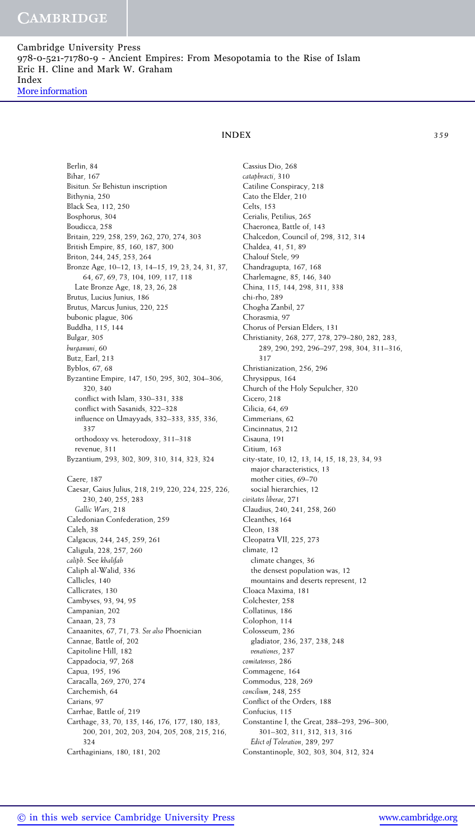Berlin, 84 Bihar, 167 Bisitun*. See* Behistun inscription Bithynia, 250 Black Sea, 112, 250 Bosphorus, 304 Boudicca, 258 Britain, 229, 258, 259, 262, 270, 274, 303 British Empire, 85, 160, 187, 300 Briton, 244, 245, 253, 264 Bronze Age, 10–12, 13, 14–15, 19, 23, 24, 31, 37, 64, 67, 69, 73, 104, 109, 117, 118 Late Bronze Age, 18, 23, 26, 28 Brutus, Lucius Junius, 186 Brutus, Marcus Junius, 220, 225 bubonic plague, 306 Buddha, 115, 144 Bulgar, 305 *burganuni*, 60 Butz, Earl, 213 Byblos, 67, 68 Byzantine Empire, 147, 150, 295, 302, 304–306, 320, 340 conflict with Islam, 330–331, 338 conflict with Sasanids, 322–328 influence on Umayyads, 332–333, 335, 336, 337 orthodoxy vs. heterodoxy, 311–318 revenue, 311 Byzantium, 293, 302, 309, 310, 314, 323, 324 Caere, 187 Caesar, Gaius Julius, 218, 219, 220, 224, 225, 226, 230, 240, 255, 283 *Gallic Wars*, 218 Caledonian Confederation, 259 Caleh, 38 Calgacus, 244, 245, 259, 261 Caligula, 228, 257, 260 *caliph*. See *khalifah* Caliph al-Walid, 336 Callicles, 140 Callicrates, 130 Cambyses, 93, 94, 95 Campanian, 202 Canaan, 23, 73 Canaanites, 67, 71, 73*. See also* Phoenician Cannae, Battle of, 202 Capitoline Hill, 182 Cappadocia, 97, 268 Capua, 195, 196 Caracalla, 269, 270, 274 Carchemish, 64 Carians, 97 Carrhae, Battle of, 219 Carthage, 33, 70, 135, 146, 176, 177, 180, 183, 200, 201, 202, 203, 204, 205, 208, 215, 216, 324

Carthaginians, 180, 181, 202

Cassius Dio, 268 *cataphracti*, 310 Catiline Conspiracy, 218 Cato the Elder, 210 Celts, 153 Cerialis, Petilius, 265 Chaeronea, Battle of, 143 Chalcedon, Council of, 298, 312, 314 Chaldea, 41, 51, 89 Chalouf Stele, 99 Chandragupta, 167, 168 Charlemagne, 85, 146, 340 China, 115, 144, 298, 311, 338 chi-rho, 289 Chogha Zanbil, 27 Chorasmia, 97 Chorus of Persian Elders, 131 Christianity, 268, 277, 278, 279–280, 282, 283, 289, 290, 292, 296–297, 298, 304, 311–316, 317 Christianization, 256, 296 Chrysippus, 164 Church of the Holy Sepulcher, 320 Cicero, 218 Cilicia, 64, 69 Cimmerians, 62 Cincinnatus, 212 Cisauna, 191 Citium, 163 city-state, 10, 12, 13, 14, 15, 18, 23, 34, 93 major characteristics, 13 mother cities, 69–70 social hierarchies, 12 *civitates liberae*, 271 Claudius, 240, 241, 258, 260 Cleanthes, 164 Cleon, 138 Cleopatra VII, 225, 273 climate, 12 climate changes, 36 the densest population was, 12 mountains and deserts represent, 12 Cloaca Maxima, 181 Colchester, 258 Collatinus, 186 Colophon, 114 Colosseum, 236 gladiator, 236, 237, 238, 248 *venationes*, 237 *comitatenses*, 286 Commagene, 164 Commodus, 228, 269 *concilium*, 248, 255 Conflict of the Orders, 188 Confucius, 115 Constantine I, the Great, 288–293, 296–300, 301–302, 311, 312, 313, 316 *Edict of Toleration*, 289, 297 Constantinople, 302, 303, 304, 312, 324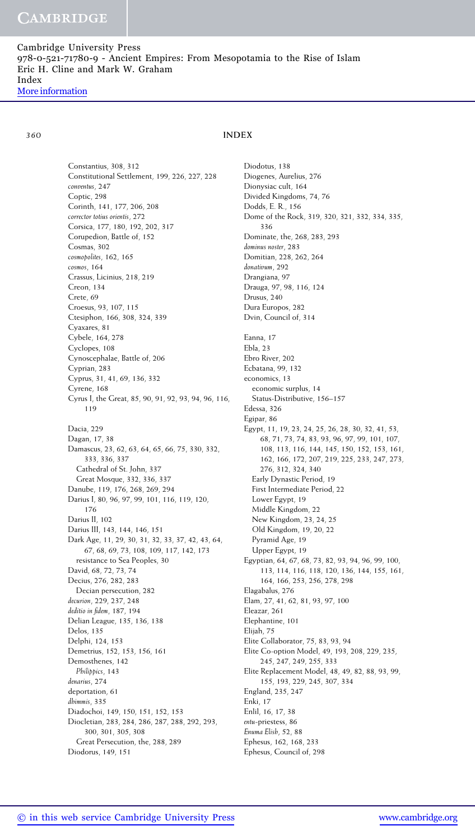Constantius, 308, 312 Constitutional Settlement, 199, 226, 227, 228 *conventus*, 247 Coptic, 298 Corinth, 141, 177, 206, 208 *corrector totius orientis*, 272 Corsica, 177, 180, 192, 202, 317 Corupedion, Battle of, 152 Cosmas, 302 *cosmopolites*, 162, 165 *cosmos*, 164 Crassus, Licinius, 218, 219 Creon, 134 Crete, 69 Croesus, 93, 107, 115 Ctesiphon, 166, 308, 324, 339 Cyaxares, 81 Cybele, 164, 278 Cyclopes, 108 Cynoscephalae, Battle of, 206 Cyprian, 283 Cyprus, 31, 41, 69, 136, 332 Cyrene, 168 Cyrus I, the Great, 85, 90, 91, 92, 93, 94, 96, 116, 119 Dacia, 229 Dagan, 17, 38 Damascus, 23, 62, 63, 64, 65, 66, 75, 330, 332, 333, 336, 337 Cathedral of St. John, 337 Great Mosque, 332, 336, 337 Danube, 119, 176, 268, 269, 294 Darius I, 80, 96, 97, 99, 101, 116, 119, 120, 176 Darius II, 102 Darius III, 143, 144, 146, 151 Dark Age, 11, 29, 30, 31, 32, 33, 37, 42, 43, 64, 67, 68, 69, 73, 108, 109, 117, 142, 173 resistance to Sea Peoples, 30 David, 68, 72, 73, 74 Decius, 276, 282, 283 Decian persecution, 282 *decurion*, 229, 237, 248 *deditio in fidem*, 187, 194 Delian League, 135, 136, 138 Delos, 135 Delphi, 124, 153 Demetrius, 152, 153, 156, 161 Demosthenes, 142 *Philippics*, 143 *denarius*, 274 deportation, 61 *dhimmis*, 335 Diadochoi, 149, 150, 151, 152, 153 Diocletian, 283, 284, 286, 287, 288, 292, 293, 300, 301, 305, 308 Great Persecution, the, 288, 289 Diodorus, 149, 151

Diodotus, 138 Diogenes, Aurelius, 276 Dionysiac cult, 164 Divided Kingdoms, 74, 76 Dodds, E. R., 156 Dome of the Rock, 319, 320, 321, 332, 334, 335, 336 Dominate, the, 268, 283, 293 *dominus noster*, 283 Domitian, 228, 262, 264 *donativum*, 292 Drangiana, 97 Drauga, 97, 98, 116, 124 Drusus, 240 Dura Europos, 282 Dvin, Council of, 314 Eanna, 17 Ebla, 23 Ebro River, 202 Ecbatana, 99, 132 economics, 13 economic surplus, 14 Status-Distributive, 156–157 Edessa, 326 Egipar, 86 Egypt, 11, 19, 23, 24, 25, 26, 28, 30, 32, 41, 53, 68, 71, 73, 74, 83, 93, 96, 97, 99, 101, 107, 108, 113, 116, 144, 145, 150, 152, 153, 161, 162, 166, 172, 207, 219, 225, 233, 247, 273, 276, 312, 324, 340 Early Dynastic Period, 19 First Intermediate Period, 22 Lower Egypt, 19 Middle Kingdom, 22 New Kingdom, 23, 24, 25 Old Kingdom, 19, 20, 22 Pyramid Age, 19 Upper Egypt, 19 Egyptian, 64, 67, 68, 73, 82, 93, 94, 96, 99, 100, 113, 114, 116, 118, 120, 136, 144, 155, 161, 164, 166, 253, 256, 278, 298 Elagabalus, 276 Elam, 27, 41, 62, 81, 93, 97, 100 Eleazar, 261 Elephantine, 101 Elijah, 75 Elite Collaborator, 75, 83, 93, 94 Elite Co-option Model, 49, 193, 208, 229, 235, 245, 247, 249, 255, 333 Elite Replacement Model, 48, 49, 82, 88, 93, 99, 155, 193, 229, 245, 307, 334 England, 235, 247 Enki, 17 Enlil, 16, 17, 38 *entu-*priestess, 86 *Enuma Elish*, 52, 88 Ephesus, 162, 168, 233 Ephesus, Council of, 298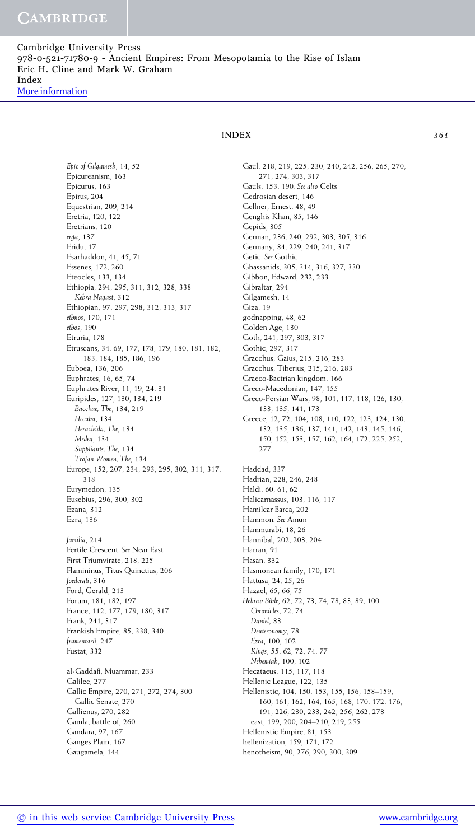*Epic of Gilgamesh*, 14, 52 Epicureanism, 163 Epicurus, 163 Epirus, 204 Equestrian, 209, 214 Eretria, 120, 122 Eretrians, 120 *erga*, 137 Eridu, 17 Esarhaddon, 41, 45, 71 Essenes, 172, 260 Eteocles, 133, 134 Ethiopia, 294, 295, 311, 312, 328, 338 *Kebra Nagast*, 312 Ethiopian, 97, 297, 298, 312, 313, 317 *ethnos*, 170, 171 *ethos*, 190 Etruria, 178 Etruscans, 34, 69, 177, 178, 179, 180, 181, 182, 183, 184, 185, 186, 196 Euboea, 136, 206 Euphrates, 16, 65, 74 Euphrates River, 11, 19, 24, 31 Euripides, 127, 130, 134, 219 *Bacchae, The*, 134, 219 *Hecuba*, 134 *Heracleida, The*, 134 *Medea*, 134 *Suppliants, The*, 134 *Trojan Women, The*, 134 Europe, 152, 207, 234, 293, 295, 302, 311, 317, 318 Eurymedon, 135 Eusebius, 296, 300, 302 Ezana, 312 Ezra, 136

*familia*, 214 Fertile Crescent*. See* Near East First Triumvirate, 218, 225 Flamininus, Titus Quinctius, 206 *foederati*, 316 Ford, Gerald, 213 Forum, 181, 182, 197 France, 112, 177, 179, 180, 317 Frank, 241, 317 Frankish Empire, 85, 338, 340 *frumentarii*, 247 Fustat, 332

al-Gaddafi, Muammar, 233 Galilee, 277 Gallic Empire, 270, 271, 272, 274, 300 Gallic Senate, 270 Gallienus, 270, 282 Gamla, battle of, 260 Gandara, 97, 167 Ganges Plain, 167 Gaugamela, 144

Gaul, 218, 219, 225, 230, 240, 242, 256, 265, 270, 271, 274, 303, 317 Gauls, 153, 190*. See also* Celts Gedrosian desert, 146 Gellner, Ernest, 48, 49 Genghis Khan, 85, 146 Gepids, 305 German, 236, 240, 292, 303, 305, 316 Germany, 84, 229, 240, 241, 317 Getic*. See* Gothic Ghassanids, 305, 314, 316, 327, 330 Gibbon, Edward, 232, 233 Gibraltar, 294 Gilgamesh, 14 Giza, 19 godnapping, 48, 62 Golden Age, 130 Goth, 241, 297, 303, 317 Gothic, 297, 317 Gracchus, Gaius, 215, 216, 283 Gracchus, Tiberius, 215, 216, 283 Graeco-Bactrian kingdom, 166 Greco-Macedonian, 147, 155 Greco-Persian Wars, 98, 101, 117, 118, 126, 130, 133, 135, 141, 173 Greece, 12, 72, 104, 108, 110, 122, 123, 124, 130, 132, 135, 136, 137, 141, 142, 143, 145, 146, 150, 152, 153, 157, 162, 164, 172, 225, 252, 277 Haddad, 337 Hadrian, 228, 246, 248 Haldi, 60, 61, 62 Halicarnassus, 103, 116, 117 Hamilcar Barca, 202 Hammon*. See* Amun Hammurabi, 18, 26 Hannibal, 202, 203, 204 Harran, 91 Hasan, 332 Hasmonean family, 170, 171 Hattusa, 24, 25, 26 Hazael, 65, 66, 75 *Hebrew Bible*, 62, 72, 73, 74, 78, 83, 89, 100 *Chronicles*, 72, 74 *Daniel*, 83 *Deuteronomy*, 78 *Ezra*, 100, 102 *Kings*, 55, 62, 72, 74, 77 *Nehemiah*, 100, 102 Hecataeus, 115, 117, 118 Hellenic League, 122, 135 Hellenistic, 104, 150, 153, 155, 156, 158–159, 160, 161, 162, 164, 165, 168, 170, 172, 176, 191, 226, 230, 233, 242, 256, 262, 278 east, 199, 200, 204–210, 219, 255 Hellenistic Empire, 81, 153 hellenization, 159, 171, 172 henotheism, 90, 276, 290, 300, 309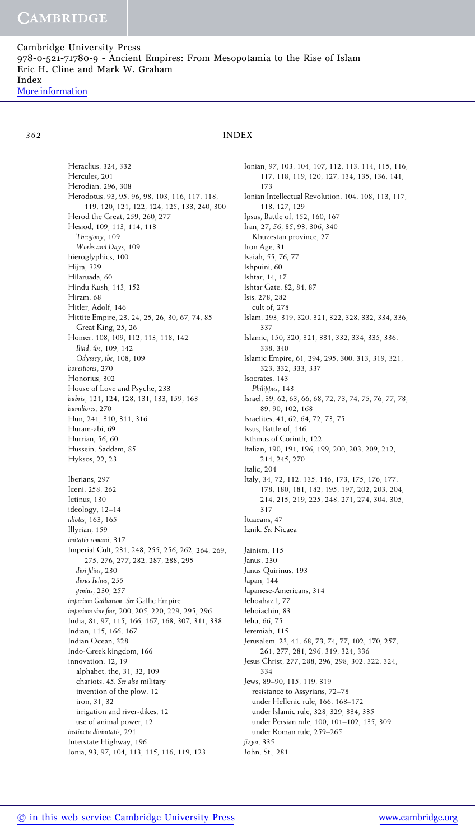Heraclius, 324, 332 Hercules, 201 Herodian, 296, 308 Herodotus, 93, 95, 96, 98, 103, 116, 117, 118, 119, 120, 121, 122, 124, 125, 133, 240, 300 Herod the Great, 259, 260, 277 Hesiod, 109, 113, 114, 118 *Theogony*, 109 *Works and Days*, 109 hieroglyphics, 100 Hijra, 329 Hilaruada, 60 Hindu Kush, 143, 152 Hiram, 68 Hitler, Adolf, 146 Hittite Empire, 23, 24, 25, 26, 30, 67, 74, 85 Great King, 25, 26 Homer, 108, 109, 112, 113, 118, 142 *Iliad*, *the*, 109, 142 *Odyssey*, *the*, 108, 109 *honestiores*, 270 Honorius, 302 House of Love and Psyche, 233 *hubris*, 121, 124, 128, 131, 133, 159, 163 *humiliores*, 270 Hun, 241, 310, 311, 316 Huram-abi, 69 Hurrian, 56, 60 Hussein, Saddam, 85 Hyksos, 22, 23 Iberians, 297 Iceni, 258, 262 Ictinus, 130 ideology, 12–14 *idiotes*, 163, 165 Illyrian, 159 *imitatio romani*, 317 Imperial Cult, 231, 248, 255, 256, 262, 264, 269, 275, 276, 277, 282, 287, 288, 295 *divi filius*, 230 *divus Iulius*, 255 *genius*, 230, 257 *imperium Galliarum. See* Gallic Empire *imperium sine fine*, 200, 205, 220, 229, 295, 296 India, 81, 97, 115, 166, 167, 168, 307, 311, 338 Indian, 115, 166, 167 Indian Ocean, 328 Indo-Greek kingdom, 166 innovation, 12, 19 alphabet, the, 31, 32, 109 chariots, 45*. See also* military invention of the plow, 12 iron, 31, 32 irrigation and river-dikes, 12 use of animal power, 12 *instinctu divinitatis*, 291 Interstate Highway, 196 Ionia, 93, 97, 104, 113, 115, 116, 119, 123

Ionian, 97, 103, 104, 107, 112, 113, 114, 115, 116, 117, 118, 119, 120, 127, 134, 135, 136, 141, 173 Ionian Intellectual Revolution, 104, 108, 113, 117, 118, 127, 129 Ipsus, Battle of, 152, 160, 167 Iran, 27, 56, 85, 93, 306, 340 Khuzestan province, 27 Iron Age, 31 Isaiah, 55, 76, 77 Ishpuini, 60 Ishtar, 14, 17 Ishtar Gate, 82, 84, 87 Isis, 278, 282 cult of, 278 Islam, 293, 319, 320, 321, 322, 328, 332, 334, 336, 337 Islamic, 150, 320, 321, 331, 332, 334, 335, 336, 338, 340 Islamic Empire, 61, 294, 295, 300, 313, 319, 321, 323, 332, 333, 337 Isocrates, 143 *Philippus*, 143 Israel, 39, 62, 63, 66, 68, 72, 73, 74, 75, 76, 77, 78, 89, 90, 102, 168 Israelites, 41, 62, 64, 72, 73, 75 Issus, Battle of, 146 Isthmus of Corinth, 122 Italian, 190, 191, 196, 199, 200, 203, 209, 212, 214, 245, 270 Italic, 204 Italy, 34, 72, 112, 135, 146, 173, 175, 176, 177, 178, 180, 181, 182, 195, 197, 202, 203, 204, 214, 215, 219, 225, 248, 271, 274, 304, 305, 317 Ituaeans, 47 Iznik*. See* Nicaea Jainism, 115 Janus, 230 Janus Quirinus, 193 Japan, 144 Japanese-Americans, 314 Jehoahaz I, 77 Jehoiachin, 83 Jehu, 66, 75 Jeremiah, 115 Jerusalem, 23, 41, 68, 73, 74, 77, 102, 170, 257, 261, 277, 281, 296, 319, 324, 336 Jesus Christ, 277, 288, 296, 298, 302, 322, 324, 334 Jews, 89–90, 115, 119, 319 resistance to Assyrians, 72–78 under Hellenic rule, 166, 168–172 under Islamic rule, 328, 329, 334, 335 under Persian rule, 100, 101–102, 135, 309 under Roman rule, 259–265 *jizya*, 335 John, St., 281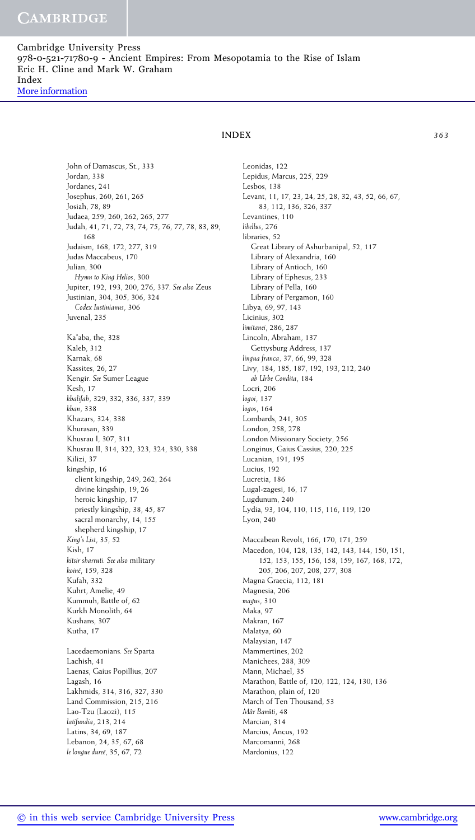John of Damascus, St., 333 Jordan, 338 Jordanes, 241 Josephus, 260, 261, 265 Josiah, 78, 89 Judaea, 259, 260, 262, 265, 277 Judah, 41, 71, 72, 73, 74, 75, 76, 77, 78, 83, 89, 168 Judaism, 168, 172, 277, 319 Judas Maccabeus, 170 Julian, 300 *Hymn to King Helios*, 300 Jupiter, 192, 193, 200, 276, 337*. See also* Zeus Justinian, 304, 305, 306, 324 *Codex Iustinianus*, 306 Juvenal, 235 Ka'aba, the, 328 Kaleb, 312 Karnak, 68 Kassites, 26, 27 Kengir*. See* Sumer League Kesh, 17 *khalifah*, 329, 332, 336, 337, 339 *khan*, 338 Khazars, 324, 338 Khurasan, 339 Khusrau I, 307, 311 Khusrau II, 314, 322, 323, 324, 330, 338 Kilizi, 37 kingship, 16 client kingship, 249, 262, 264 divine kingship, 19, 26 heroic kingship, 17 priestly kingship, 38, 45, 87 sacral monarchy, 14, 155 shepherd kingship, 17 *King's List*, 35, 52 Kish, 17 *kitsir sharruti. See also* military *koine´*, 159, 328 Kufah, 332 Kuhrt, Amelie, 49 Kummuh, Battle of, 62 Kurkh Monolith, 64 Kushans, 307 Kutha, 17 Lacedaemonians*. See* Sparta Lachish, 41 Laenas, Gaius Popillius, 207

Lagash, 16 Lakhmids, 314, 316, 327, 330 Land Commission, 215, 216 Lao-Tzu (Laozi), 115 *latifundia*, 213, 214 Latins, 34, 69, 187 Lebanon, 24, 35, 67, 68 *le longue duree´*, 35, 67, 72

Leonidas, 122 Lepidus, Marcus, 225, 229 Lesbos, 138 Levant, 11, 17, 23, 24, 25, 28, 32, 43, 52, 66, 67, 83, 112, 136, 326, 337 Levantines, 110 *libellus*, 276 libraries, 52 Great Library of Ashurbanipal, 52, 117 Library of Alexandria, 160 Library of Antioch, 160 Library of Ephesus, 233 Library of Pella, 160 Library of Pergamon, 160 Libya, 69, 97, 143 Licinius, 302 *limitanei*, 286, 287 Lincoln, Abraham, 137 Gettysburg Address, 137 *lingua franca*, 37, 66, 99, 328 Livy, 184, 185, 187, 192, 193, 212, 240 *ab Urbe Condita*, 184 Locri, 206 *logoi*, 137 *logos*, 164 Lombards, 241, 305 London, 258, 278 London Missionary Society, 256 Longinus, Gaius Cassius, 220, 225 Lucanian, 191, 195 Lucius, 192 Lucretia, 186 Lugal-zagesi, 16, 17 Lugdunum, 240 Lydia, 93, 104, 110, 115, 116, 119, 120 Lyon, 240 Maccabean Revolt, 166, 170, 171, 259 Macedon, 104, 128, 135, 142, 143, 144, 150, 151, 152, 153, 155, 156, 158, 159, 167, 168, 172, 205, 206, 207, 208, 277, 308 Magna Graecia, 112, 181 Magnesia, 206 *magus*, 310 Maka, 97 Makran, 167 Malatya, 60 Malaysian, 147 Mammertines, 202 Manichees, 288, 309 Mann, Michael, 35 Marathon, Battle of, 120, 122, 124, 130, 136 Marathon, plain of, 120 March of Ten Thousand, 53 *Mar Ban ˆ uti ˆ* , 48 Marcian, 314 Marcius, Ancus, 192 Marcomanni, 268 Mardonius, 122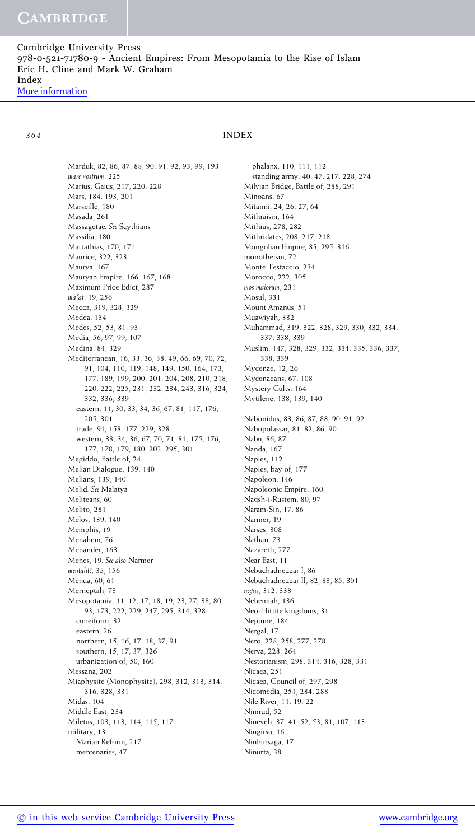Marduk, 82, 86, 87, 88, 90, 91, 92, 93, 99, 193 *mare nostrum*, 225 Marius, Gaius, 217, 220, 228 Mars, 184, 193, 201 Marseille, 180 Masada, 261 Massagetae*. See* Scythians Massilia, 180 Mattathias, 170, 171 Maurice, 322, 323 Maurya, 167 Mauryan Empire, 166, 167, 168 Maximum Price Edict, 287 *maat*, 19, 256 Mecca, 319, 328, 329 Medea, 134 Medes, 52, 53, 81, 93 Media, 56, 97, 99, 107 Medina, 84, 329 Mediterranean, 16, 33, 36, 38, 49, 66, 69, 70, 72, 91, 104, 110, 119, 148, 149, 150, 164, 173, 177, 189, 199, 200, 201, 204, 208, 210, 218, 220, 222, 225, 231, 232, 234, 243, 316, 324, 332, 336, 339 eastern, 11, 30, 33, 34, 36, 67, 81, 117, 176, 205, 301 trade, 91, 158, 177, 229, 328 western, 33, 34, 36, 67, 70, 71, 81, 175, 176, 177, 178, 179, 180, 202, 295, 301 Megiddo, Battle of, 24 Melian Dialogue, 139, 140 Melians, 139, 140 Melid*. See* Malatya Meliteans, 60 Melito, 281 Melos, 139, 140 Memphis, 19 Menahem, 76 Menander, 163 Menes, 19*. See also* Narmer *mentalite´*, 35, 156 Menua, 60, 61 Merneptah, 73 Mesopotamia, 11, 12, 17, 18, 19, 23, 27, 38, 80, 93, 173, 222, 229, 247, 295, 314, 328 cuneiform, 32 eastern, 26 northern, 15, 16, 17, 18, 37, 91 southern, 15, 17, 37, 326 urbanization of, 50, 160 Messana, 202 Miaphysite (Monophysite), 298, 312, 313, 314, 316, 328, 331 Midas, 104 Middle East, 234 Miletus, 103, 113, 114, 115, 117 military, 13 Marian Reform, 217 mercenaries, 47

phalanx, 110, 111, 112 standing army, 40, 47, 217, 228, 274 Milvian Bridge, Battle of, 288, 291 Minoans, 67 Mitanni, 24, 26, 27, 64 Mithraism, 164 Mithras, 278, 282 Mithridates, 208, 217, 218 Mongolian Empire, 85, 295, 316 monotheism, 72 Monte Testaccio, 234 Morocco, 222, 305 *mos maiorum*, 231 Mosul, 331 Mount Amanus, 51 Muawiyah, 332 Muhammad, 319, 322, 328, 329, 330, 332, 334, 337, 338, 339 Muslim, 147, 328, 329, 332, 334, 335, 336, 337, 338, 339 Mycenae, 12, 26 Mycenaeans, 67, 108 Mystery Cults, 164 Mytilene, 138, 139, 140 Nabonidus, 83, 86, 87, 88, 90, 91, 92 Nabopolassar, 81, 82, 86, 90 Nabu, 86, 87 Nanda, 167 Naples, 112 Naples, bay of, 177 Napoleon, 146 Napoleonic Empire, 160 Naqsh-i-Rustem, 80, 97 Naram-Sin, 17, 86 Narmer, 19 Narses, 308 Nathan, 73 Nazareth, 277 Near East, 11 Nebuchadnezzar I, 86 Nebuchadnezzar II, 82, 83, 85, 301 *negus*, 312, 338 Nehemiah, 136 Neo-Hittite kingdoms, 31 Neptune, 184 Nergal, 17 Nero, 228, 258, 277, 278 Nerva, 228, 264 Nestorianism, 298, 314, 316, 328, 331 Nicaea, 251 Nicaea, Council of, 297, 298 Nicomedia, 251, 284, 288 Nile River, 11, 19, 22 Nimrud, 52 Nineveh, 37, 41, 52, 53, 81, 107, 113 Ningirsu, 16 Ninhursaga, 17 Ninurta, 38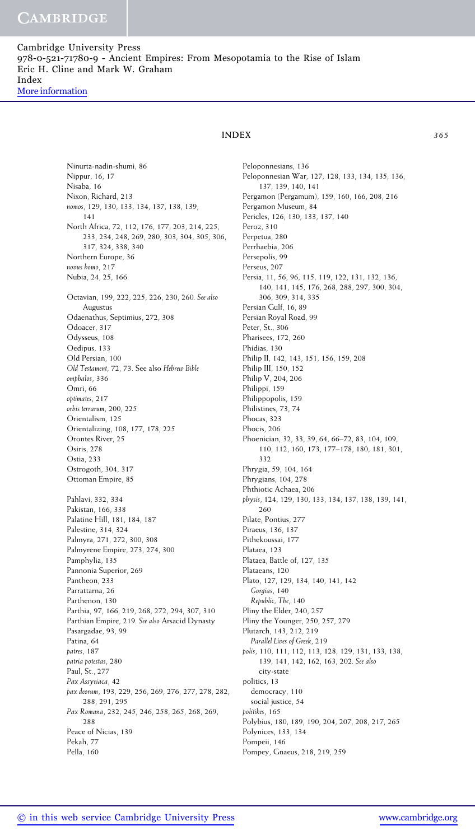Ninurta-nadin-shumi, 86 Nippur, 16, 17 Nisaba, 16 Nixon, Richard, 213 *nomos*, 129, 130, 133, 134, 137, 138, 139, 141 North Africa, 72, 112, 176, 177, 203, 214, 225, 233, 234, 248, 269, 280, 303, 304, 305, 306, 317, 324, 338, 340 Northern Europe, 36 *novus homo*, 217 Nubia, 24, 25, 166 Octavian, 199, 222, 225, 226, 230, 260*. See also* Augustus Odaenathus, Septimius, 272, 308 Odoacer, 317 Odysseus, 108 Oedipus, 133 Old Persian, 100 *Old Testament*, 72, 73. See also *Hebrew Bible omphalos*, 336 Omri, 66 *optimates*, 217 *orbis terrarum*, 200, 225 Orientalism, 125 Orientalizing, 108, 177, 178, 225 Orontes River, 25 Osiris, 278 Ostia, 233 Ostrogoth, 304, 317 Ottoman Empire, 85 Pahlavi, 332, 334 Pakistan, 166, 338 Palatine Hill, 181, 184, 187 Palestine, 314, 324 Palmyra, 271, 272, 300, 308 Palmyrene Empire, 273, 274, 300 Pamphylia, 135 Pannonia Superior, 269

Pantheon, 233 Parrattarna, 26 Parthenon, 130 Parthia, 97, 166, 219, 268, 272, 294, 307, 310 Parthian Empire, 219*. See also* Arsacid Dynasty Pasargadae, 93, 99 Patina, 64 *patres*, 187 *patria potestas*, 280 Paul, St., 277 *Pax Assyriaca*, 42 *pax deorum*, 193, 229, 256, 269, 276, 277, 278, 282, 288, 291, 295 *Pax Romana*, 232, 245, 246, 258, 265, 268, 269, 288 Peace of Nicias, 139 Pekah, 77 Pella, 160

Peloponnesians, 136 Peloponnesian War, 127, 128, 133, 134, 135, 136, 137, 139, 140, 141 Pergamon (Pergamum), 159, 160, 166, 208, 216 Pergamon Museum, 84 Pericles, 126, 130, 133, 137, 140 Peroz, 310 Perpetua, 280 Perrhaebia, 206 Persepolis, 99 Perseus, 207 Persia, 11, 56, 96, 115, 119, 122, 131, 132, 136, 140, 141, 145, 176, 268, 288, 297, 300, 304, 306, 309, 314, 335 Persian Gulf, 16, 89 Persian Royal Road, 99 Peter, St., 306 Pharisees, 172, 260 Phidias, 130 Philip II, 142, 143, 151, 156, 159, 208 Philip III, 150, 152 Philip V, 204, 206 Philippi, 159 Philippopolis, 159 Philistines, 73, 74 Phocas, 323 Phocis, 206 Phoenician, 32, 33, 39, 64, 66–72, 83, 104, 109, 110, 112, 160, 173, 177–178, 180, 181, 301, 332 Phrygia, 59, 104, 164 Phrygians, 104, 278 Phthiotic Achaea, 206 *physis*, 124, 129, 130, 133, 134, 137, 138, 139, 141, 260 Pilate, Pontius, 277 Piraeus, 136, 137 Pithekoussai, 177 Plataea, 123 Plataea, Battle of, 127, 135 Plataeans, 120 Plato, 127, 129, 134, 140, 141, 142 *Gorgias*, 140 *Republic, The*, 140 Pliny the Elder, 240, 257 Pliny the Younger, 250, 257, 279 Plutarch, 143, 212, 219 *Parallel Lives of Greek*, 219 *polis*, 110, 111, 112, 113, 128, 129, 131, 133, 138, 139, 141, 142, 162, 163, 202*. See also* city-state politics, 13 democracy, 110 social justice, 54 *politikes*, 165 Polybius, 180, 189, 190, 204, 207, 208, 217, 265 Polynices, 133, 134 Pompeii, 146 Pompey, Gnaeus, 218, 219, 259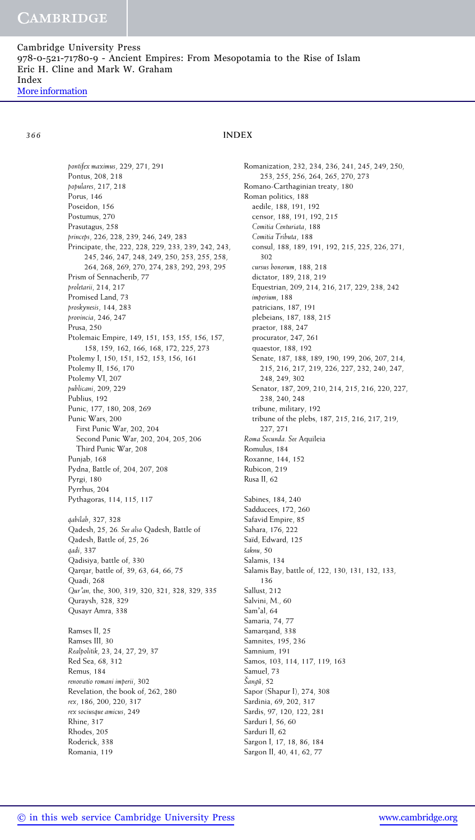*pontifex maximus*, 229, 271, 291 Pontus, 208, 218 *populares*, 217, 218 Porus, 146 Poseidon, 156 Postumus, 270 Prasutagus, 258 *princeps*, 226, 228, 239, 246, 249, 283 Principate, the, 222, 228, 229, 233, 239, 242, 243, 245, 246, 247, 248, 249, 250, 253, 255, 258, 264, 268, 269, 270, 274, 283, 292, 293, 295 Prism of Sennacherib, 77 *proletarii*, 214, 217 Promised Land, 73 *proskynesis*, 144, 283 *provincia*, 246, 247 Prusa, 250 Ptolemaic Empire, 149, 151, 153, 155, 156, 157, 158, 159, 162, 166, 168, 172, 225, 273 Ptolemy I, 150, 151, 152, 153, 156, 161 Ptolemy II, 156, 170 Ptolemy VI, 207 *publicani*, 209, 229 Publius, 192 Punic, 177, 180, 208, 269 Punic Wars, 200 First Punic War, 202, 204 Second Punic War, 202, 204, 205, 206 Third Punic War, 208 Punjab, 168 Pydna, Battle of, 204, 207, 208 Pyrgi, 180 Pyrrhus, 204 Pythagoras, 114, 115, 117 *qabilah*, 327, 328 Qadesh, 25, 26*. See also* Qadesh, Battle of Qadesh, Battle of, 25, 26 *qadi*, 337 Qadisiya, battle of, 330 Qarqar, battle of, 39, 63, 64, 66, 75 Quadi, 268 *Quran,* the, 300, 319, 320, 321, 328, 329, 335 Quraysh, 328, 329 Qusayr Amra, 338 Ramses II, 25 Ramses III, 30 *Realpolitik*, 23, 24, 27, 29, 37 Red Sea, 68, 312 Remus, 184 *renovatio romani imperii*, 302 Revelation, the book of, 262, 280 *rex*, 186, 200, 220, 317 *rex sociusque amicus*, 249 Rhine, 317 Rhodes, 205 Roderick, 338 Romania, 119

Romanization, 232, 234, 236, 241, 245, 249, 250, 253, 255, 256, 264, 265, 270, 273 Romano-Carthaginian treaty, 180 Roman politics, 188 aedile, 188, 191, 192 censor, 188, 191, 192, 215 *Comitia Centuriata*, 188 *Comitia Tributa*, 188 consul, 188, 189, 191, 192, 215, 225, 226, 271, 302 *cursus honorum*, 188, 218 dictator, 189, 218, 219 Equestrian, 209, 214, 216, 217, 229, 238, 242 *imperium*, 188 patricians, 187, 191 plebeians, 187, 188, 215 praetor, 188, 247 procurator, 247, 261 quaestor, 188, 192 Senate, 187, 188, 189, 190, 199, 206, 207, 214, 215, 216, 217, 219, 226, 227, 232, 240, 247, 248, 249, 302 Senator, 187, 209, 210, 214, 215, 216, 220, 227, 238, 240, 248 tribune, military, 192 tribune of the plebs, 187, 215, 216, 217, 219, 227, 271 *Roma Secunda. See* Aquileia Romulus, 184 Roxanne, 144, 152 Rubicon, 219 Rusa II, 62 Sabines, 184, 240 Sadducees, 172, 260 Safavid Empire, 85 Sahara, 176, 222 Saïd, Edward, 125 *saknu ˇ* , 50 Salamis, 134 Salamis Bay, battle of, 122, 130, 131, 132, 133, 136 Sallust, 212 Salvini, M., 60 Sam'al, 64 Samaria, 74, 77 Samarqand, 338 Samnites, 195, 236 Samnium, 191 Samos, 103, 114, 117, 119, 163 Samuel, <sup>73</sup> *<sup>ˇ</sup> Sanguˆ*, 52 Sapor (Shapur I), 274, 308 Sardinia, 69, 202, 317 Sardis, 97, 120, 122, 281 Sarduri I, 56, 60 Sarduri II, 62 Sargon I, 17, 18, 86, 184 Sargon II, 40, 41, 62, 77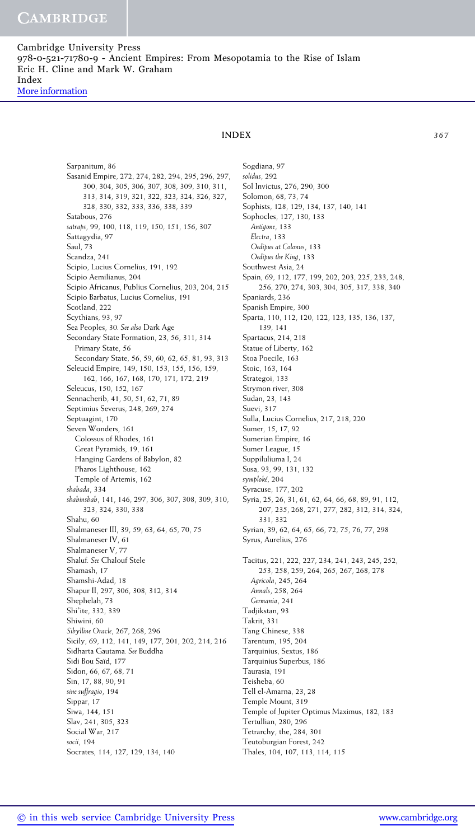Sarpanitum, 86

Saul, 73

Sasanid Empire, 272, 274, 282, 294, 295, 296, 297,

# **INDEX** *367*

300, 304, 305, 306, 307, 308, 309, 310, 311, 313, 314, 319, 321, 322, 323, 324, 326, 327, 328, 330, 332, 333, 336, 338, 339 Satabous, 276 *satraps*, 99, 100, 118, 119, 150, 151, 156, 307 Sattagydia, 97 Scandza, 241 Scipio, Lucius Cornelius, 191, 192 Scipio Aemilianus, 204 Scipio Africanus, Publius Cornelius, 203, 204, 215 Scipio Barbatus, Lucius Cornelius, 191 Scotland, 222 Scythians, 93, 97 Sea Peoples, 30*. See also* Dark Age Secondary State Formation, 23, 56, 311, 314 Primary State, 56 Secondary State, 56, 59, 60, 62, 65, 81, 93, 313 Seleucid Empire, 149, 150, 153, 155, 156, 159, 162, 166, 167, 168, 170, 171, 172, 219 Seleucus, 150, 152, 167 Sennacherib, 41, 50, 51, 62, 71, 89 Septimius Severus, 248, 269, 274 Septuagint, 170 Seven Wonders, 161 Colossus of Rhodes, 161 Great Pyramids, 19, 161 Hanging Gardens of Babylon, 82 Pharos Lighthouse, 162 Temple of Artemis, 162 *shahada*, 334 *shahinshah*, 141, 146, 297, 306, 307, 308, 309, 310, 323, 324, 330, 338 Shahu, 60 Shalmaneser III, 39, 59, 63, 64, 65, 70, 75 Shalmaneser IV, 61 Shalmaneser V, 77 Shaluf*. See* Chalouf Stele Shamash, 17 Shamshi-Adad, 18 Shapur II, 297, 306, 308, 312, 314 Shephelah, 73 Shi'ite, 332, 339 Shiwini, 60 *Sibylline Oracle*, 267, 268, 296 Sicily, 69, 112, 141, 149, 177, 201, 202, 214, 216 Sidharta Gautama*. See* Buddha Sidi Bou Saïd, 177 Sidon, 66, 67, 68, 71

Sogdiana, 97 *solidus*, 292 Sol Invictus, 276, 290, 300 Solomon, 68, 73, 74 Sophists, 128, 129, 134, 137, 140, 141 Sophocles, 127, 130, 133 *Antigone*, 133 *Electra*, 133 *Oedipus at Colonus*, 133 *Oedipus the King*, 133 Southwest Asia, 24 Spain, 69, 112, 177, 199, 202, 203, 225, 233, 248, 256, 270, 274, 303, 304, 305, 317, 338, 340 Spaniards, 236 Spanish Empire, 300 Sparta, 110, 112, 120, 122, 123, 135, 136, 137, 139, 141 Spartacus, 214, 218 Statue of Liberty, 162 Stoa Poecile, 163 Stoic, 163, 164 Strategoi, 133 Strymon river, 308 Sudan, 23, 143 Suevi, 317 Sulla, Lucius Cornelius, 217, 218, 220 Sumer, 15, 17, 92 Sumerian Empire, 16 Sumer League, 15 Suppiluliuma I, 24 Susa, 93, 99, 131, 132 *symploke´*, 204 Syracuse, 177, 202 Syria, 25, 26, 31, 61, 62, 64, 66, 68, 89, 91, 112, 207, 235, 268, 271, 277, 282, 312, 314, 324, 331, 332 Syrian, 39, 62, 64, 65, 66, 72, 75, 76, 77, 298 Syrus, Aurelius, 276 Tacitus, 221, 222, 227, 234, 241, 243, 245, 252, 253, 258, 259, 264, 265, 267, 268, 278 *Agricola*, 245, 264 *Annals*, 258, 264 *Germania*, 241 Tadjikstan, 93 Takrit, 331 Tang Chinese, 338 Tarentum, 195, 204 Tarquinius, Sextus, 186 Tarquinius Superbus, 186 Taurasia, 191 Teisheba, 60 Tell el-Amarna, 23, 28 Temple Mount, 319 Temple of Jupiter Optimus Maximus, 182, 183 Tertullian, 280, 296 Tetrarchy, the, 284, 301 Teutoburgian Forest, 242 Thales, 104, 107, 113, 114, 115

Socrates, 114, 127, 129, 134, 140

Sin, 17, 88, 90, 91 *sine suffragio*, 194 Sippar, 17 Siwa, 144, 151 Slav, 241, 305, 323 Social War, 217 *socii*, 194